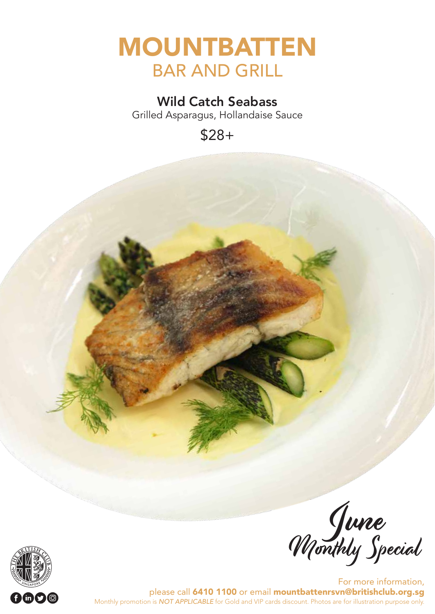

#### Wild Catch Seabass

Grilled Asparagus, Hollandaise Sauce

\$28+



June Wonthly Special

For more information, please call 6410 1100 or email mountbattenrsvn@britishclub.org.sg Monthly promotion is *NOT APPLICABLE* for Gold and VIP cards discount. Photos are for illustration purpose only.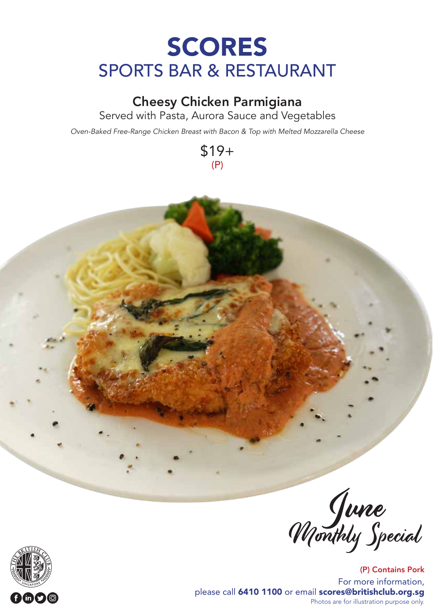# SCORES SPORTS BAR & RESTAURANT

#### Cheesy Chicken Parmigiana

Served with Pasta, Aurora Sauce and Vegetables

*Oven-Baked Free-Range Chicken Breast with Bacon & Top with Melted Mozzarella Cheese*

\$19+ (P)





(P) Contains Pork For more information, please call 6410 1100 or email scores@britishclub.org.sg Photos are for illustration purpose only.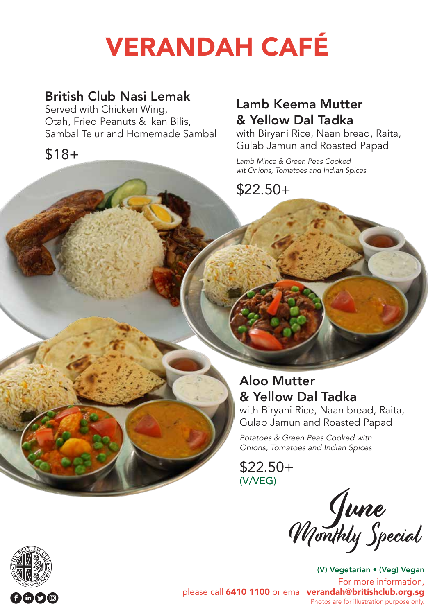# VERANDAH CAFÉ

### British Club Nasi Lemak

Served with Chicken Wing, Otah, Fried Peanuts & Ikan Bilis, Sambal Telur and Homemade Sambal

\$18+

## Lamb Keema Mutter & Yellow Dal Tadka

with Biryani Rice, Naan bread, Raita, Gulab Jamun and Roasted Papad

*Lamb Mince & Green Peas Cooked wit Onions, Tomatoes and Indian Spices* 

\$22.50+

### Aloo Mutter & Yellow Dal Tadka

with Biryani Rice, Naan bread, Raita, Gulab Jamun and Roasted Papad

*Potatoes & Green Peas Cooked with Onions, Tomatoes and Indian Spices* 

\$22.50+ (V/VEG)

June Wonthly Special

(V) Vegetarian • (Veg) Vegan For more information, please call 6410 1100 or email verandah@britishclub.org.sg Photos are for illustration purpose only.